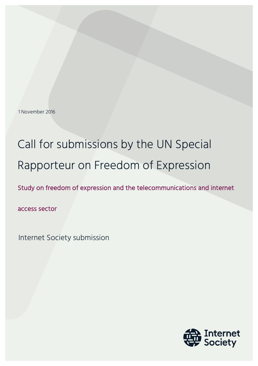1 November 2016

# Call for submissions by the UN Special Rapporteur on Freedom of Expression

Study on freedom of expression and the telecommunications and internet

access sector

Internet Society submission

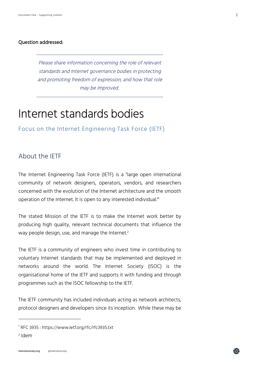#### Question addressed:

Please share information concerning the role of relevant standards and Internet governance bodies in protecting and promoting freedom of expression, and how that role may be improved.

## Internet standards bodies

Focus on the Internet Engineering Task Force (IETF)

### About the IETF

The Internet Engineering Task Force (IETF) is a "large open international community of network designers, operators, vendors, and researchers concerned with the evolution of the Internet architecture and the smooth operation of the Internet. It is open to any interested individual."1

The stated Mission of the IETF is to make the Internet work better by producing high quality, relevant technical documents that influence the way people design, use, and manage the Internet. 2

The IETF is a community of engineers who invest time in contributing to voluntary Internet standards that may be implemented and deployed in networks around the world. The Internet Society (ISOC) is the organisational home of the IETF and supports it with funding and through programmes such as the ISOC fellowship to the IETF.

The IETF community has included individuals acting as network architects, protocol designers and developers since its inception. While these may be

I

盆

<sup>1</sup> RFC 3935 : https://www.ietf.org/rfc/rfc3935.txt

<sup>2</sup> Idem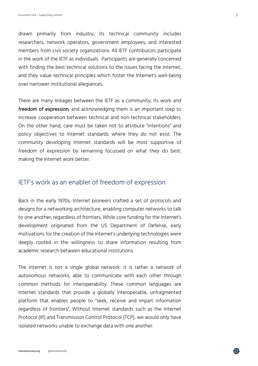drawn primarily from industry, its technical community includes researchers, network operators, government employees, and interested members from civil society organizations. All IETF contributors participate in the work of the IETF as individuals. Participants are generally concerned with finding the best technical solutions to the issues facing the Internet, and they value technical principles which foster the Internet's well-being over narrower institutional allegiances.

There are many linkages between the IETF as a community, its work and freedom of expression, and acknowledging them is an important step to increase cooperation between technical and non-technical stakeholders. On the other hand, care must be taken not to attribute "intentions" and policy objectives to Internet standards where they do not exist. The community developing Internet standards will be most supportive of freedom of expression by remaining focussed on what they do best: making the Internet work better.

### IETF's work as an enabler of freedom of expression

Back in the early 1970s, Internet pioneers crafted a set of protocols and designs for a networking architecture, enabling computer networks to talk to one another, regardless of frontiers. While core funding for the Internet's development originated from the US Department of Defense, early motivations for the creation of the Internet's underlying technologies were deeply rooted in the willingness to share information resulting from academic research between educational institutions.

The Internet is not a single global network: it is rather a network of autonomous networks, able to communicate with each other through common methods for interoperability. These common languages are Internet standards that provide a globally interoperable, unfragmented platform that enables people to "seek, receive and impart information regardless of frontiers". Without Internet standards such as the Internet Protocol (IP) and Transmission Control Protocol (TCP), we would only have isolated networks unable to exchange data with one another.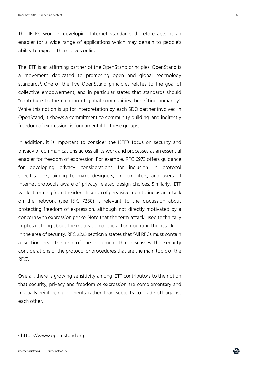The IETF's work in developing Internet standards therefore acts as an enabler for a wide range of applications which may pertain to people's ability to express themselves online.

The IETF is an affirming partner of the OpenStand principles. OpenStand is a movement dedicated to promoting open and global technology standards3 . One of the five OpenStand principles relates to the goal of collective empowerment, and in particular states that standards should "contribute to the creation of global communities, benefiting humanity". While this notion is up for interpretation by each SDO partner involved in OpenStand, it shows a commitment to community building, and indirectly freedom of expression, is fundamental to these groups.

In addition, it is important to consider the IETF's focus on security and privacy of communications across all its work and processes as an essential enabler for freedom of expression. For example, RFC 6973 offers guidance for developing privacy considerations for inclusion in protocol specifications, aiming to make designers, implementers, and users of Internet protocols aware of privacy-related design choices. Similarly, IETF work stemming from the identification of pervasive monitoring as an attack on the network (see RFC 7258) is relevant to the discussion about protecting freedom of expression, although not directly motivated by a concern with expression per se. Note that the term 'attack' used technically implies nothing about the motivation of the actor mounting the attack. In the area of security, RFC 2223 section 9 states that "All RFCs must contain a section near the end of the document that discusses the security considerations of the protocol or procedures that are the main topic of the RFC".

Overall, there is growing sensitivity among IETF contributors to the notion that security, privacy and freedom of expression are complementary and mutually reinforcing elements rather than subjects to trade-off against each other.

### <sup>3</sup> https://www.open-stand.org

I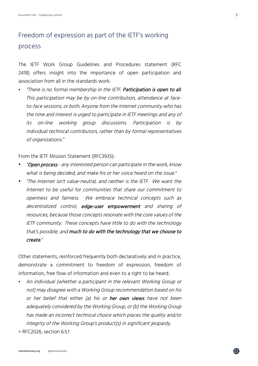### Freedom of expression as part of the IETF's working process

The IETF Work Group Guidelines and Procedures statement (RFC 2418) offers insight into the importance of open participation and association from all in the standards work:

• "There is no formal membership in the IETF. Participation is open to all. This participation may be by on-line contribution, attendance at faceto-face sessions, or both. Anyone from the Internet community who has the time and interest is urged to participate in IETF meetings and any of its on-line working group discussions. Participation is by individual technical contributors, rather than by formal representatives of organizations."

From the IETF Mission Statement (RFC3935):

- "Open process any interested person can participate in the work, know what is being decided, and make his or her voice heard on the issue."
- "The Internet isn't value-neutral, and neither is the IETF. We want the Internet to be useful for communities that share our commitment to openness and fairness. We embrace technical concepts such as decentralized control, edge-user empowerment and sharing of resources, because those concepts resonate with the core values of the IETF community. These concepts have little to do with the technology that's possible, and much to do with the technology that we choose to create."

Other statements, reinforced frequently both declaratively and in practice, demonstrate a commitment to freedom of expression, freedom of information, free flow of information and even to a right to be heard:

• An individual (whether a participant in the relevant Working Group or not) may disagree with a Working Group recommendation based on his or her belief that either (a) his or her own views have not been adequately considered by the Working Group, or (b) the Working Group has made an incorrect technical choice which places the quality and/or integrity of the Working Group's product(s) in significant jeopardy.

> RFC2026, section 6.5.1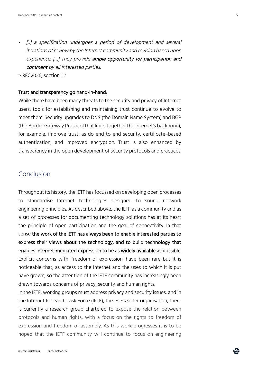- [...] a specification undergoes a period of development and several iterations of review by the Internet community and revision based upon experience. [...] They provide ample opportunity for participation and comment by all interested parties.
- > RFC2026, section 1.2

#### Trust and transparency go hand-in-hand:

While there have been many threats to the security and privacy of Internet users, tools for establishing and maintaining trust continue to evolve to meet them. Security upgrades to DNS (the Domain Name System) and BGP (the Border Gateway Protocol that knits together the Internet's backbone), for example, improve trust, as do end to end security, certificate–based authentication, and improved encryption. Trust is also enhanced by transparency in the open development of security protocols and practices.

### Conclusion

Throughout its history, the IETF has focussed on developing open processes to standardise Internet technologies designed to sound network engineering principles. As described above, the IETF as a community and as a set of processes for documenting technology solutions has at its heart the principle of open participation and the goal of connectivity. In that sense the work of the IETF has always been to enable interested parties to express their views about the technology, and to build technology that enables Internet-mediated expression to be as widely available as possible. Explicit concerns with 'freedom of expression' have been rare but it is noticeable that, as access to the Internet and the uses to which it is put have grown, so the attention of the IETF community has increasingly been drawn towards concerns of privacy, security and human rights.

In the IETF, working groups must address privacy and security issues, and in the Internet Research Task Force (IRTF), the IETF's sister organisation, there is currently a research group chartered to expose the relation between protocols and human rights, with a focus on the rights to freedom of expression and freedom of assembly. As this work progresses it is to be hoped that the IETF community will continue to focus on engineering